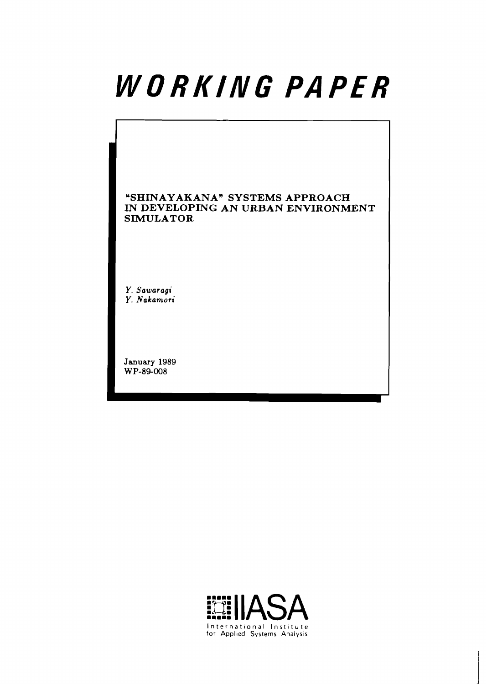# WORKING PAPER

# **uSHINAYAKANA" SYSTEMS APPROACH IN DEVELOPING AN URBAN ENVIRONMENT SIMULATOR**

**Y. Sawaragi Y. Nakamori** 

**January 1989**  WP-89-008

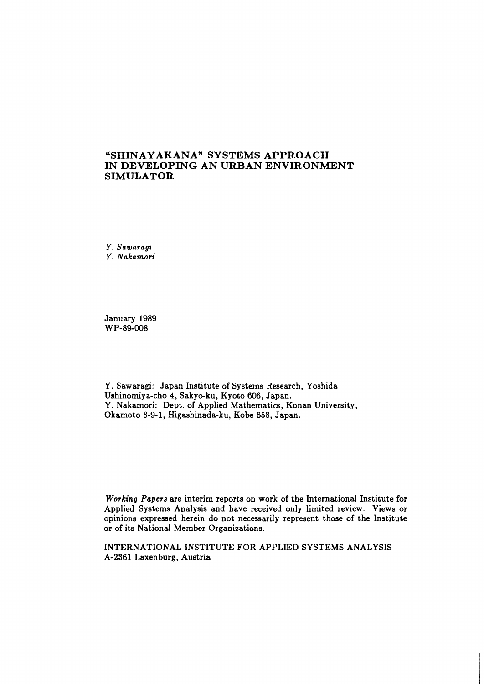# **uSHINAYAKANA" SYSTEMS APPROACH IN DEVELOPING AN URBAN ENVIRONMENT SIMULATOR**

*Y. Sawaragi Y. Nakamori* 

January 1989 WP-89-008

Y. Sawaragi: Japan Institute of Systems Research, Yoshida Ushinomiya-cho 4, Sakyo-ku, Kyoto 606, Japan. Y. Nakamori: Dept. of Applied Mathematics, Konan University, Okamoto 8-9-1, Higashinada-ku, Kobe 658, Japan.

*Working Papers* are interim reports on work of the International Institute for Applied Systems Analysis and have received only limited review. Views or opinions expressed herein do not necessarily represent those of the Institute or of its National Member Organizations.

INTERNATIONAL INSTITUTE FOR APPLIED SYSTEMS ANALYSIS A-2361 Laxenburg, Austria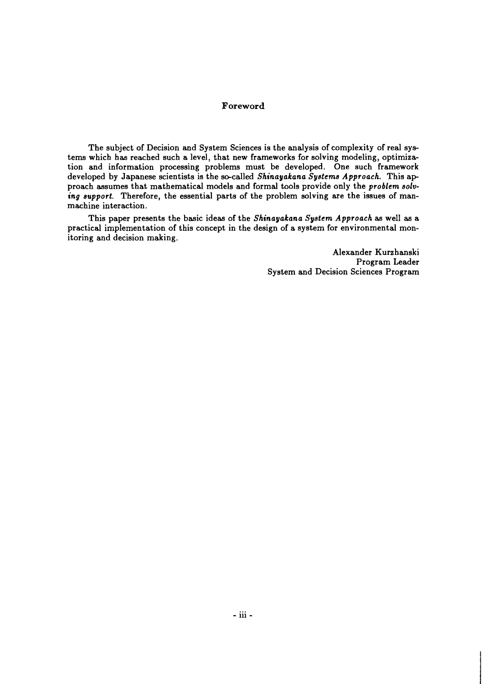### **Foreword**

The subject of Decision and System Sciences is the analysis of complexity of real systems which has reached such a level, that new frameworks for solving modeling, optimization and information processing problems must be developed. One such framework developed by Japanese scientists is the so-called *Shinayakana Systems Approach.* This ap proach assumes that mathematical models and formal tools provide only the *problem solu*ing support. Therefore, the essential parts of the problem solving are the issues of manmachine interaction.

This paper presents the basic ideas of the *Shinayakana System Approach* as well as a practical implementation of this concept in the design of a system for environmental monitoring and decision making.

> Alexander Kurzhanski Program Leader System and Decision Sciences Program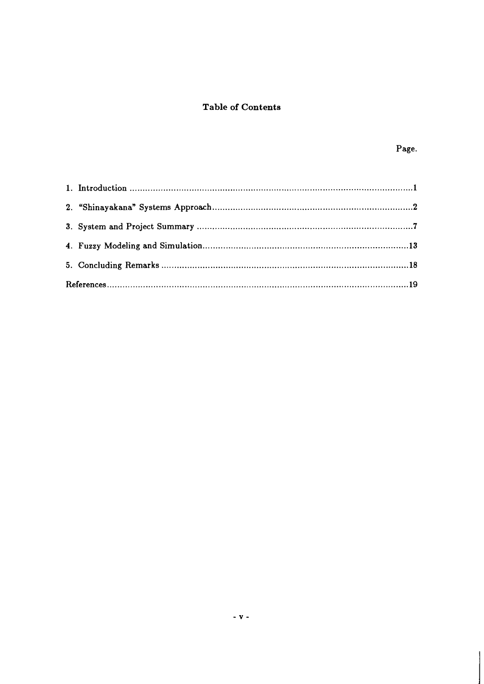# **Table of Contents**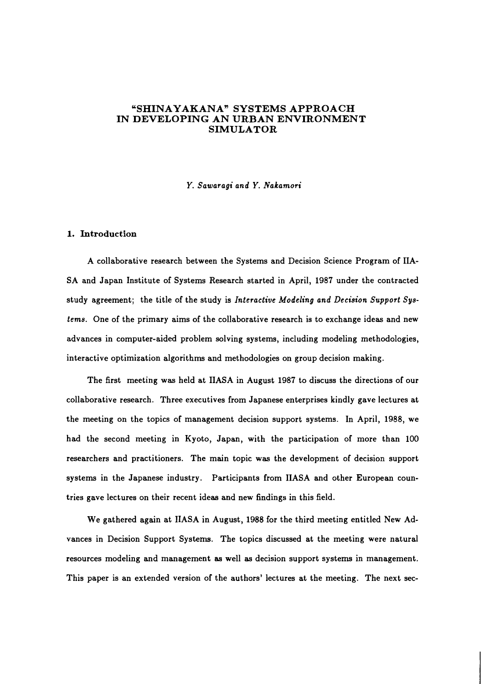## **"SHINAYAKANAn SYSTEMS APPROACH IN DEVELOPING AN URBAN ENVIRONMENT SIMULATOR**

*Y. Sawaragi and Y. Nakamori* 

#### **1. Introduction**

A collaborative research between the Systems and Decision Science Program of IIA-SA and Japan Institute of Systems Research started in April, 1987 under the contracted study agreement; the title of the study is *Interactive Modeling and Decision Support Systems.* One of the primary aims of the collaborative research is to exchange ideas and new advances in computer-aided problem solving systems, including modeling methodologies, interactive optimization algorithms and methodologies on group decision making.

The first meeting was held at IIASA in August 1987 to discuss the directions of our collaborative research. Three executives from Japanese enterprises kindly gave lectures at the meeting on the topics of management decision support systems. In April, 1988, we had the second meeting in Kyoto, Japan, with the participation of more than 100 researchers and practitioners. The main topic was the development of decision support systems in the Japanese industry. Participants from IIASA and other European countries gave lectures on their recent ideas and new findings in this field.

We gathered again at IIASA in August, 1988 for the third meeting entitled New Advances in Decision Support Systems. The topics discussed at the meeting were natural resources modeling and management as well **as** decision support systems in management. This paper is an extended version of the authors' lectures at the meeting. The next sec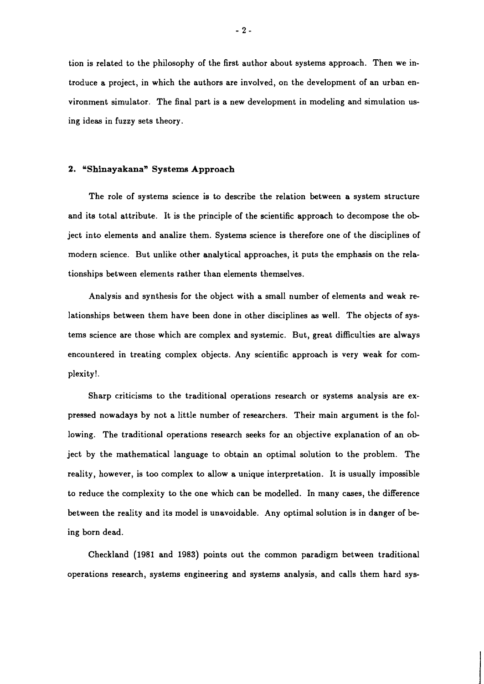tion is related to the philosophy of the first author about systems approach. Then we introduce a project, in which the authors are involved, on the development of an urban environment simulator. The final part is a new development in modeling and simulation using ideas in fuzzy sets theory.

#### 2. "Shinayakana" Systems Approach

The role of systems science is to describe the relation between a system structure and its total attribute. It is the principle of the scientific approach to decompose the ob ject into elements and analize them. Systems science is therefore one of the disciplines of modern science. But unlike other analytical approaches, it puts the emphasis on the relationships between elements rather than elements themselves.

Analysis and synthesis for the object with a small number of elements and weak relationships between them have been done in other disciplines as well. The objects of systems science are those which are complex and systemic. But, great difficulties are always encountered in treating complex objects. Any scientific approach is very weak for complexity!.

Sharp criticisms to the traditional operations research or systems analysis are expressed nowadays by not a little number of researchers. Their main argument is the following. The traditional operations research seeks for an objective explanation of an ob ject by the mathematical language to obtain an optimal solution to the problem. The reality, however, is too complex to allow a unique interpretation. It is usually impossible to reduce the complexity to the one which can be modelled. In many cases, the difference between the reality and its model is unavoidable. Any optimal solution is in danger of being born dead.

Checkland **(1981** and **1983)** points out the common paradigm between traditional operations research, systems engineering and systems analysis, and calls them hard sys-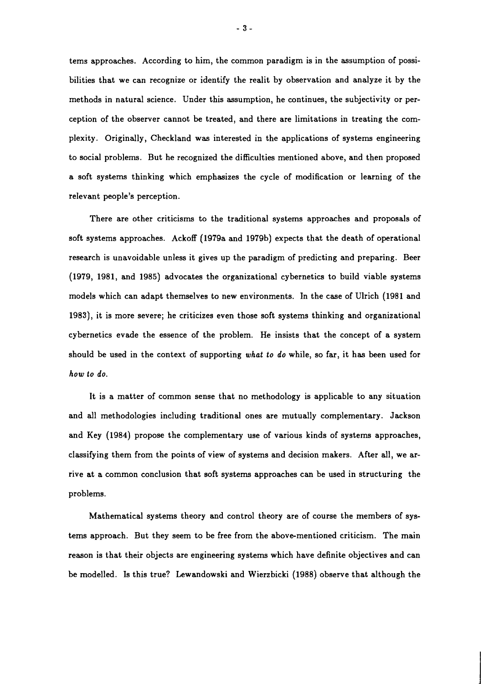tems approaches. According to him, the common paradigm is in the assumption of possibilities that we can recognize or identify the realit by observation and analyze it by the methods in natural science. Under this assumption, he continues, the subjectivity or perception of the observer cannot be treated, and there are limitations in treating the complexity. Originally, Checkland was interested in the applications of systems engineering to social problems. But he recognized the difficulties mentioned above, and then proposed a soft systems thinking which emphasizes the cycle of modification or learning of the relevant people's perception.

There are other criticisms to the traditional systems approaches and proposals of soft systems approaches. Ackoff (1979a and 1979b) expects that the death of operational research is unavoidable unless it gives up the paradigm of predicting and preparing. Beer (1979, 1981, and 1985) advocates the organizational cybernetics to build viable systems models which can adapt themselves to new environments. In the case of Ulrich (1981 and 1983), it is more severe; he criticizes even those soft systems thinking and organizational cybernetics evade the essence of the problem. He insists that the concept of a system should be used in the context of supporting *what to do* while, so far, it has been used for *how to do.* 

It is a matter of common sense that no methodology is applicable to any situation and all methodologies including traditional ones are mutually complementary. Jackson and Key (1984) propose the complementary use of various kinds of systems approaches, classifying them from the points of view of systems and decision makers. After all, we arrive at a common conclusion that soft systems approaches can be used in structuring the problems.

Mathematical systems theory and control theory are of course the members of systems approach. But they seem to be free from the above-mentioned criticism. The main reason is that their objects are engineering systems which have definite objectives and can be modelled. Is this true? Lewandowski and Wierzbicki (1988) observe that although the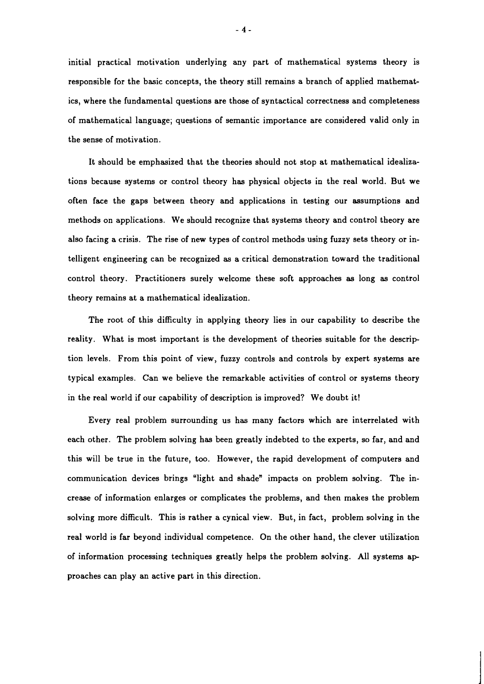initial practical motivation underlying any part of mathematical systems theory is responsible for the basic concepts, the theory still remains a branch of applied mathematics, where the fundamental questions are those of syntactical correctness and completeness of mathematical language; questions of semantic importance are considered valid only in the sense of motivation.

It should be emphasized that the theories should not stop at mathematical idealizations because systems or control theory has physical objects in the real world. But we often face the gaps between theory and applications in testing our assumptions and methods on applications. We should recognize that systems theory and control theory are also facing a crisis. The rise of new types of control methods using fuzzy sets theory or intelligent engineering can be recognized as a critical demonstration toward the traditional control theory. Practitioners surely welcome these soft approaches as long as control theory remains at a mathematical idealization.

The root of this difficulty in applying theory lies in our capability to describe the reality. What is most important is the development of theories suitable for the descrip tion levels. From this point of view, fuzzy controls and controls by expert systems are typical examples. Can we believe the remarkable activities of control or systems theory in the real world if our capability of description is improved? We doubt it!

Every real problem surrounding us has many factors which are interrelated with each other. The problem solving has been greatly indebted to the experts, so far, and and this will be true in the future, too. However, the rapid development of computers and communication devices brings "light and shade" impacts on problem solving. The increase of information enlarges or complicates the problems, and then makes the problem solving more difficult. This is rather a cynical view. But, in fact, problem solving in the real world is far beyond individual competence. On the other hand, the clever utilization of information processing techniques greatly helps the problem solving. All systems ap proaches can play an active part in this direction.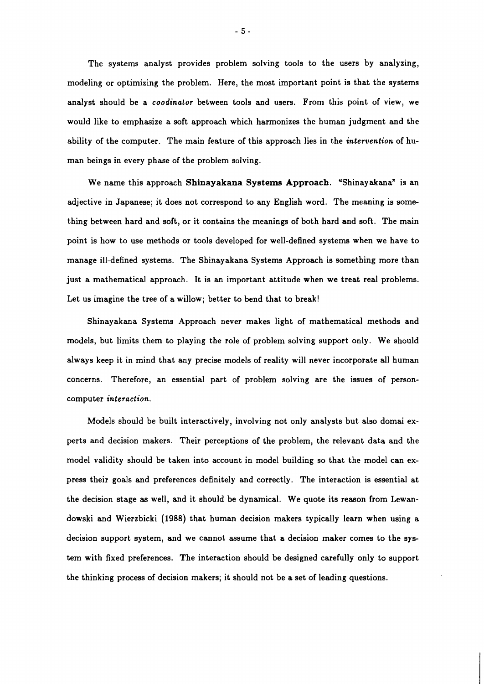The systems analyst provides problem solving tools to the users by analyzing, modeling or optimizing the problem. Here, the most important point is that the systems analyst should be a **coodinator** between tools and users. From this point of view, we would like to emphasize a soft approach which harmonizes the human judgment and the ability of the computer. The main feature of this approach lies in the **intervention** of human beings in every phase of the problem solving.

We name this approach **Shinayakana Systems Approach.** 'Shinay akana" is an adjective in Japanese; it does not correspond to any English word. The meaning is something between hard and soft, or it contains the meanings of both hard and soft. The main point is how to use methods or tools developed for well-defined systems when we have to manage ill-defined systems. The Shinayakana Systems Approach is something more than just a mathematical approach. It is an important attitude when we treat real problems. Let us imagine the tree of a willow; better to bend that to break!

Shinayakana Systems Approach never makes light of mathematical methods and models, but limits them to playing the role of problem solving support only. We should always keep it in mind that any precise models of reality will never incorporate all human concerns. Therefore, an essential part of problem solving are the issues of personcomputer **interaction.** 

Models should be built interactively, involving not only analysts but also domai experts and decision makers. Their perceptions of the problem, the relevant data and the model validity should be taken into account in model building so that the model can express their goals and preferences definitely and correctly. The interaction is essential at the decision stage as well, and it should be dynamical. We quote its reason from Lewandowski and Wierzbicki (1988) that human decision makers typically learn when using a decision support system, and we cannot assume that a decision maker comes to the system with fixed preferences. The interaction should be designed carefully only to support the thinking process of decision makers; it should not be a set of leading questions.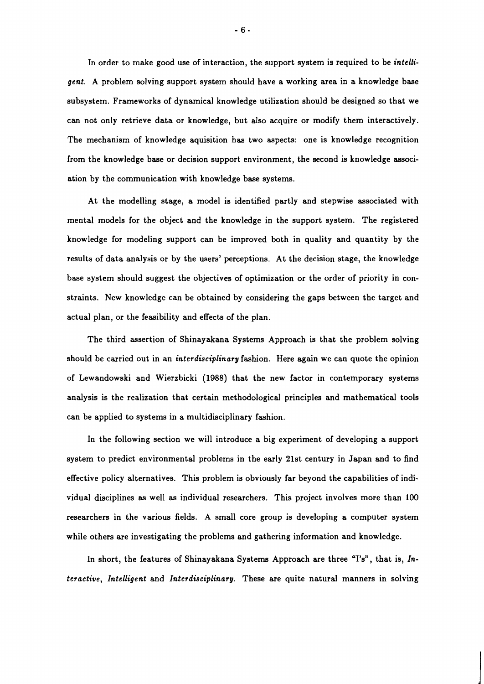In order to make good use of interaction, the support system is required to be *intelli*gent. A problem solving support system should have a working area in a knowledge base subsystem. Frameworks of dynamical knowledge utilization should be designed so that we can not only retrieve data or knowledge, but also acquire or modify them interactively. The mechanism of knowledge aquisition has two aspects: one is knowledge recognition from the knowledge base or decision support environment, the second is knowledge association by the communication with knowledge base systems.

At the modelling stage, a model is identified partly and stepwise associated with mental models for the object and the knowledge in the support system. The registered knowledge for modeling support can be improved both in quality and quantity by the results of data analysis or by the users' perceptions. At the decision stage, the knowledge base system should suggest the objectives of optimization or the order of priority in constraints. New knowledge can be obtained by considering the gaps between the target and actual plan, or the feasibility and effects of the plan.

The third assertion of Shinayakana Systems Approach is that the problem solving should be carried out in an interdisciplinary fashion. Here again we can quote the opinion of Lewandowski and Wierzbicki (1988) that the new factor in contemporary systems analysis is the realization that certain methodological principles and mathematical tools can be applied to systems in a multidisciplinary fashion.

In the following section we will introduce a big experiment of developing a support system to predict environmental problems in the early 21st century in Japan and to find effective policy alternatives. This problem is obviously far beyond the capabilities of individual disciplines as well as individual researchers. This project involves more than 100 researchers in the various fields. A small core group is developing a computer system while others are investigating the problems and gathering information and knowledge.

In short, the features of Shinayakana Systems Approach are three "I's", that is, Interactive, Intelligent and Interdisciplinary. These are quite natural manners in solving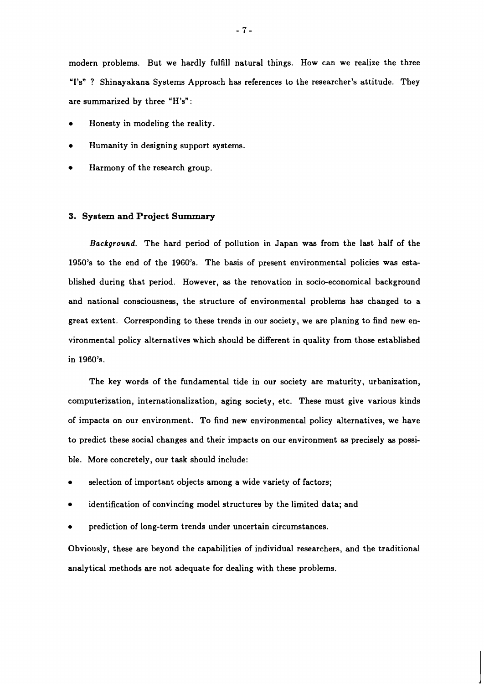modern problems. But we hardly fulfill natural things. How can we realize the three "I's"? Shinayakana Systems Approach has references to the researcher's attitude. They are summarized by three "H's":

- Honesty in modeling the reality.
- Humanity in designing support systems.
- Harmony of the research group.

#### **3. System and Project Summary**

**Background.** The hard period of pollution in Japan was from the last half of the 1950's to the end of the 1960's. The basis of present environmental policies was established during that period. However, as the renovation in socio-economical background and national consciousness, the structure of environmental problems has changed to a great extent. Corresponding to these trends in our society, we are planing to find new environmental policy alternatives which should be different in quality from those established in 1960's.

The key words of the fundamental tide in our society are maturity, urbanization, computerization, internationalization, aging society, etc. These must give various kinds of impacts on our environment. To find new environmental policy alternatives, we have to predict these social changes and their impacts on our environment as precisely as possible. More concretely, our task should include:

- selection of important objects among a wide variety of factors;
- identification of convincing model structures by the limited data; and
- prediction of long-term trends under uncertain circumstances.

Obviously, these are beyond the capabilities of individual researchers, and the traditional analytical methods are not adequate for dealing with these problems.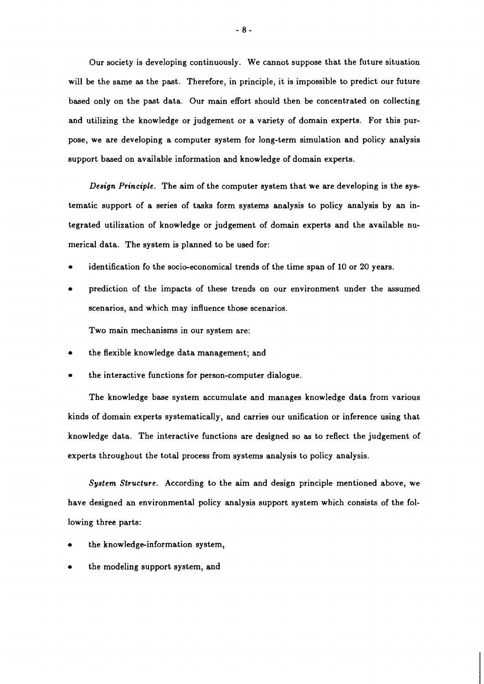Our society is developing continuously. We cannot suppose that the future situation will be the same as the past. Therefore, in principle, it is impossible to predict our future based only on the past data. Our main effort should then be concentrated on collecting and utilizing the knowledge or judgement or a variety of domain experts. For this purpose, we are developing a computer system for long-term simulation and policy analysis support based on available information and knowledge of domain experts.

*Design Principle.* The aim of the computer system that we are developing is the systematic support of a series of tasks form systems analysis to policy analysis by an integrated utilization of knowledge or judgement of domain experts and the available numerical data. The system is planned to be used for:

- identification fo the socio-economical trends of the time span of 10 or 20 years.
- prediction of the impacts of these trends on our environment under the assumed scenarios, and which may influence those scenarios.

Two main mechanisms in our system are:

- the flexible knowledge data management; and
- the interactive functions for person-computer dialogue.

The knowledge base system accumulate and manages knowledge data from various kinds of domain experts systematically, and carries our unification or inference using that knowledge data. The interactive functions are designed so as to reflect the judgement of experts throughout the total process from systems analysis to policy analysis.

*System Structure.* According to the aim and design principle mentioned above, we have designed an environmental policy analysis support system which consists of the following three parts:

- the knowledge-information system,
- the modeling support system, and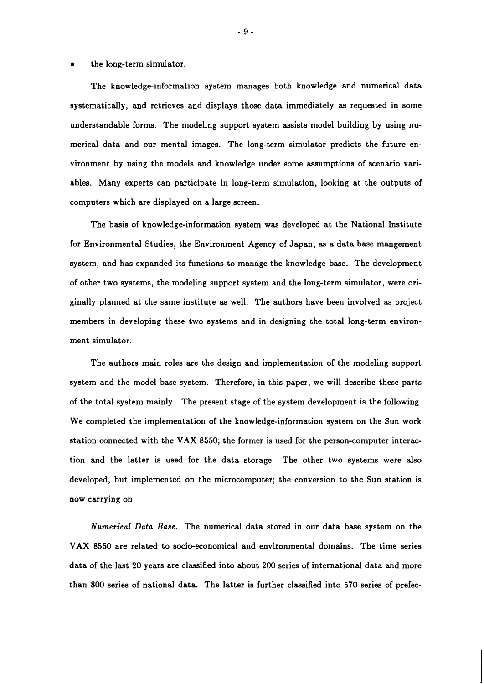#### the long-term simulator.  $\bullet$

The knowledge-information system manages both knowledge and numerical data systematically, and retrieves and displays those data immediately as requested in some understandable forms. The modeling support system assists model building by using numerical data and our mental images. The long-term simulator predicts the future environment by using the models and knowledge under some assumptions of scenario variables. Many experts can participate in long-term simulation, looking at the outputs of computers which are displayed on a large screen.

The basis of knowledge-information system was developed at the National Institute for Environmental Studies, the Environment Agency of Japan, as a data base mangement system, and has expanded its functions to manage the knowledge base. The development of other two systems, the modeling support system and the long-term simulator, were originally planned at the same institute as well. The authors have been involved as project members in developing these two systems and in designing the total long-term environment simulator.

The authors main roles are the design and implementation of the modeling support system and the model base system. Therefore, in this paper, we will describe these parts of the total system mainly. The present stage of the system development is the following. We completed the implementation of the knowledge-information system on the Sun work station connected with the VAX **8550;** the former is used for the person-computer interaction and the latter is used for the data storage. The other two systems were also developed, but implemented on the microcomputer; the conversion to the Sun station is now carrying on.

*Numerical Data Base.* The numerical data stored in our data base system on the VAX 8550 are related to socio-economical and environmental domains. The time series data of the last **20** years are classified into about **200** series of international data and more than **800** series of national data. The latter is further classified into **570** series of prefec-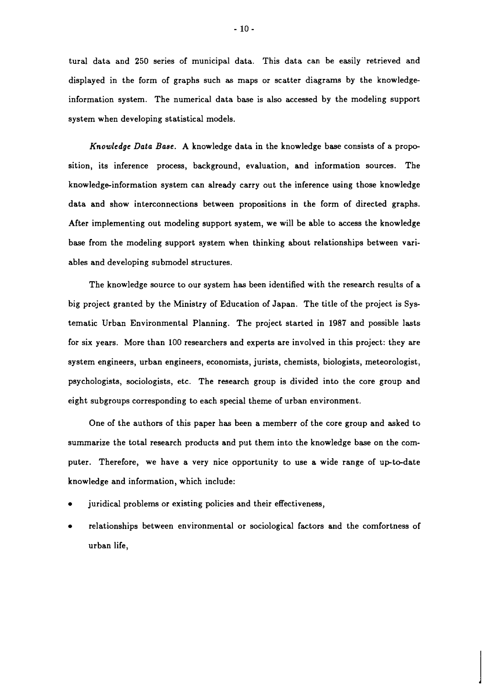tural data and 250 series of municipal data. This data can be easily retrieved and displayed in the form of graphs such as maps or scatter diagrams by the knowledgeinformation system. The numerical data base is also accessed by the modeling support system when developing statistical models.

Knowledge Data **Base.** A knowledge data in the knowledge base consists of a proposition, its inference process, background, evaluation, and information sources. The knowledge-information system can already carry out the inference using those knowledge data and show interconnections between propositions in the form of directed graphs. After implementing out modeling support system, we will be able to access the knowledge base from the modeling support system when thinking about relationships between variables and developing submodel structures.

The knowledge source to our system has been identified with the research results of a big project granted by the Ministry of Education of Japan. The title of the project is Systematic Urban Environmental Planning. The project started in 1987 and possible lasts for six years. More than 100 researchers and experts are involved in this project: they are system engineers, urban engineers, economists, jurists, chemists, biologists, meteorologist, psychologists, sociologists, etc. The research group is divided into the core group and eight subgroups corresponding to each special theme of urban environment.

One of the authors of this paper has been a memberr of the core group and asked to summarize the total research products and put them into the knowledge base on the computer. Therefore, we have a very nice opportunity to use a wide range of upto-date knowledge and information, which include:

- juridical problems or existing policies and their effectiveness,
- relationships between environmental or sociological factors and the comfortness of urban life,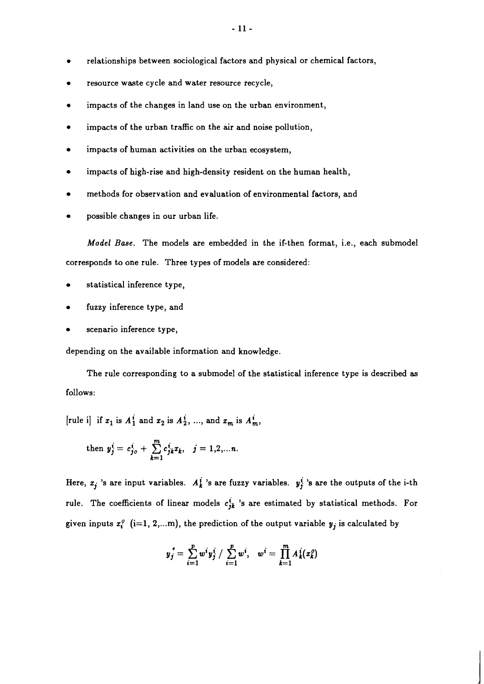- resource waste cycle and water resource recycle,
- impacts of the changes in land use on the urban environment,
- impacts of the urban traffic on the air and noise pollution,
- impacts of human activities on the urban ecosystem,
- impacts of high-rise and high-density resident on the human health,
- methods for observation and evaluation of environmental factors, and
- possible changes in our urban life.

Model Base. The models are embedded in the if-then format, i.e., each submodel corresponds to one rule. Three types of models are considered:

- statistical inference type,
- fuzzy inference type, and
- scenario inference type,

depending on the available information and knowledge.

The rule corresponding to a submodel of the statistical inference type is described as follows:

[rule i] if  $x_1$  is  $A_1^i$  and  $x_2$  is  $A_2^i$ , ..., and  $x_m$  is  $A_m^i$ ,

then 
$$
y_j^i = c_{j0}^i + \sum_{k=1}^m c_{jk}^i x_k
$$
,  $j = 1, 2, ... n$ .

Here,  $x_j$  's are input variables.  $A_k^j$  's are fuzzy variables.  $y_j^i$  's are the outputs of the i-th rule. The coefficients of linear models  $c_{jk}^i$  's are estimated by statistical methods. For given inputs  $x_i^o$  (i=1, 2,...m), the prediction of the output variable  $y_j$  is calculated by

$$
y_j^* = \sum_{i=1}^p w^i y_j^i / \sum_{i=1}^p w^i, \quad w^i = \prod_{k=1}^m A_k^i(x_k^o)
$$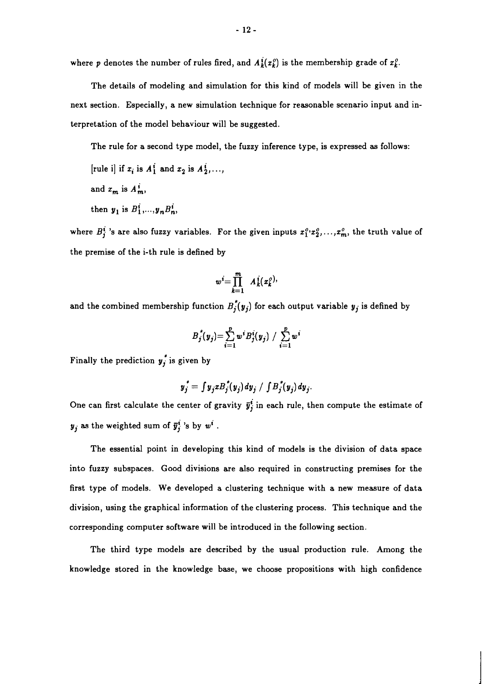where p denotes the number of rules fired, and  $A_k^i(x_k^o)$  is the membership grade of  $x_k^o$ .

The details of modeling and simulation for this kind of models will be given in the next section. Especially, a new simulation technique for reasonable scenario input and interpretation of the model behaviour will be suggested.

The rule for a second type model, the fuzzy inference type, is expressed as follows:

[rule i] if 
$$
x_i
$$
 is  $A_1^i$  and  $x_2$  is  $A_2^i$ , ...,

- and  $x_m$  is  $A_m^i$ ,
- then  $y_1$  is  $B_1^i,..., y_n B_n^i$ ,

where  $B_j^i$  's are also fuzzy variables. For the given inputs  $x_1^o, x_2^o, \ldots, x_m^o$ , the truth value of the premise of the i-th rule is defined by

$$
w^i = \prod_{k=1}^m A_k^i(x_k^o).
$$

and the combined membership function  $B_j^*(y_j)$  for each output variable  $y_j$  is defined by

$$
B_j^{\star}(y_j) = \sum_{i=1}^p w^i B_j^i(y_j) / \sum_{i=1}^p w^i
$$

Finally the prediction  $y_j^*$  is given by

$$
y_j^* = \int y_j x B_j^*(y_j) dy_j / \int B_j^*(y_j) dy_j.
$$

One can first calculate the center of gravity  $\bar{y}_j^i$  in each rule, then compute the estimate of  $y_j$  as the weighted sum of  $\bar{y}_j^i$  's by  $w^i$ .

The essential point in developing this kind of models is the division of data space into fuzzy subspaces. Good divisions are also required in constructing premises for the first type of models. We developed a clustering technique with a new measure of data division, using the graphical information of the clustering process. This technique and the corresponding computer software will be introduced in the following section.

The third type models are described by the usual production rule. Among the knowledge stored in the knowledge base, we choose propositions with high confidence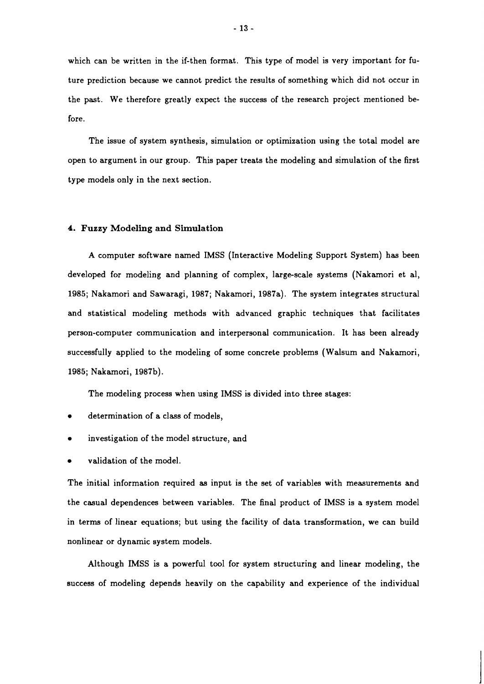which can be written in the if-then format. This type of model is very important for future prediction because we cannot predict the results of something which did not occur in the past. We therefore greatly expect the success of the research project mentioned before.

The issue of system synthesis, simulation or optimization using the total model are open to argument in our group. This paper treats the modeling and simulation of the first type models only in the next section.

#### **4. Fuzzy Modeling and Simulation**

A computer software named IMSS (Interactive Modeling Support System) has been developed for modeling and planning of complex, large-scale systems (Nakamori et al, 1985; Nakamori and Sawaragi, 1987; Nakamori, 1987a). The system integrates structural and statistical modeling methods with advanced graphic techniques that facilitates person-computer communication and interpersonal communication. It has been already successfully applied to the modeling of some concrete problems (Walsum and Nakamori, 1985; Nakamori, 1987b).

The modeling process when using IMSS is divided into three stages:

- determination of a class of models,
- investigation of the model structure, and
- validation of the model.

The initial information required as input is the set of variables with measurements and the casual dependences between variables. The final product of IMSS is a system model in terms of linear equations; but using the facility of data transformation, we can build nonlinear or dynamic system models.

Although IMSS is a powerful tool for system structuring and linear modeling, the success of modeling depends heavily on the capability and experience of the individual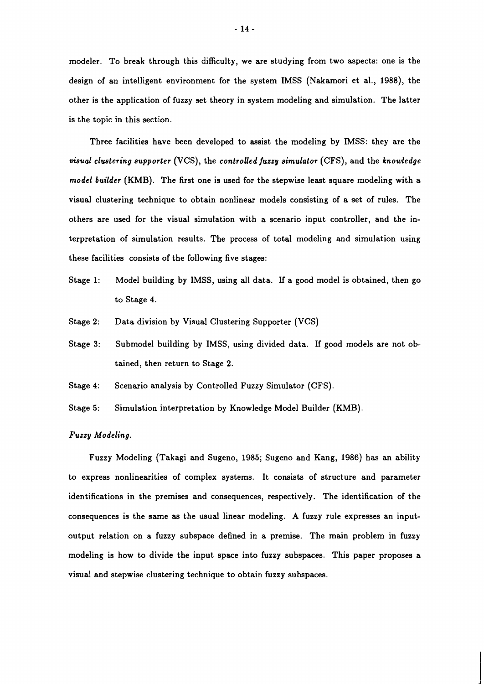modeler. To break through this difficulty, we are studying from two aspects: one is the design of an intelligent environment for the system IMSS (Nakamori et al., 1988), the other is the application of fuzzy set theory in system modeling and simulation. The latter is the topic in this section.

Three facilities have been developed to assist the modeling by IMSS: they are the *visual clustering supporter* (VCS), the *controlled fuzzy simulator* (CFS), and the *knowledge model builder* (KMB). The first one is used for the stepwise least square modeling with a visual clustering technique to obtain nonlinear models consisting of a set of rules. The others are used for the visual simulation with a scenario input controller, and the interpretation of simulation results. The process of total modeling and simulation using these facilities consists of the following five stages:

- Stage 1: Model building by IMSS, using all data. If a good model is obtained, then go to Stage 4.
- Stage 2: Data division by Visual Clustering Supporter (VCS)
- Stage 3: Submodel building by IMSS, using divided data. If good models are not obtained, then return to Stage 2.
- Stage 4: Scenario analysis by Controlled Fuzzy Simulator (CFS).
- Stage 5: Simulation interpretation by Knowledge Model Builder (KMB).

#### *Fuzzy Modeling.*

Fuzzy Modeling (Takagi and Sugeno, 1985; Sugeno and Kang, 1986) has an ability to express nonlinearities of complex systems. It consists of structure and parameter identifications in the premises and consequences, respectively. The identification of the consequences is the same **as** the usual linear modeling. A fuzzy rule expresses an inputoutput relation on a fuzzy subspace defined in a premise. The main problem in fuzzy modeling is how to divide the input space into fuzzy subspaces. This paper proposes a visual and stepwise clustering technique to obtain fuzzy subspaces.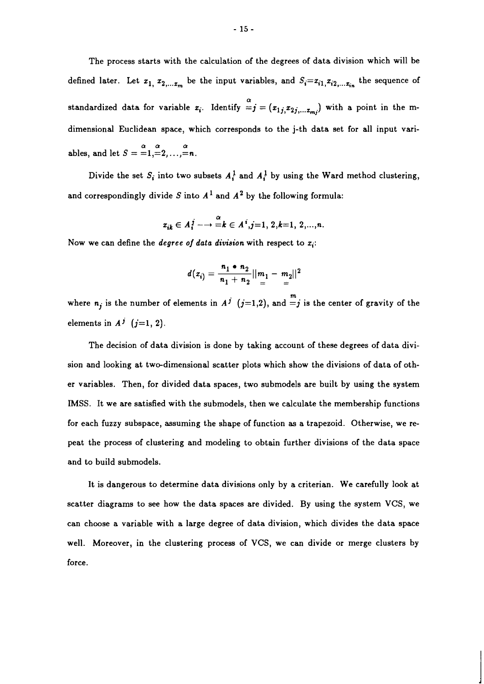The process starts with the calculation of the degrees of data division which will be defined later. Let  $x_1, x_2, \ldots, x_m$  be the input variables, and  $S_i = x_{i1}, x_{i2}, \ldots, x_{in}$  the sequence of standardized data for variable  $x_i$ . Identify  $\overset{\alpha}{=}j=(x_{1j,}x_{2j,...x_{mi}})$  with a point in the mdimensional Euclidean space, which corresponds to the j-th data set for all input variables, and let  $S = -1, =2, \ldots, =n$ .

Divide the set  $S_i$  into two subsets  $A_i^1$  and  $A_i^1$  by using the Ward method clustering, and correspondingly divide S into  $A^1$  and  $A^2$  by the following formula:

$$
x_{ik} \in A_i^j \longrightarrow \frac{\alpha}{k} \in A^i, j=1, 2, k=1, 2, ..., n.
$$

Now we can define the *degree of data division* with respect to  $x_i$ :

$$
d(x_i) = \frac{n_1 \cdot n_2}{n_1 + n_2} ||m_1 - m_2||^2
$$

where  $n_j$  is the number of elements in  $A^j$   $(j=1,2)$ , and  $=j$  is the center of gravity of the elements in  $A^j$  (j=1, 2).

The decision of data division is done by taking account of these degrees of data division and looking at two-dimensional scatter plots which show the divisions of data of other variables. Then, for divided data spaces, two submodels are built by using the system IMSS. It we are satisfied with the submodels, then we calculate the membership functions for each fuzzy subspace, assuming the shape of function as a trapezoid. Otherwise, we repeat the process of clustering and modeling to obtain further divisions of the data space and to build submodels.

It is dangerous to determine data divisions only by a criterian. We carefully look at scatter diagrams to see how the data spaces are divided. By using the system VCS, we can choose a variable with a large degree of data division, which divides the data space well. Moreover, in the clustering process of VCS, we can divide or merge clusters by force.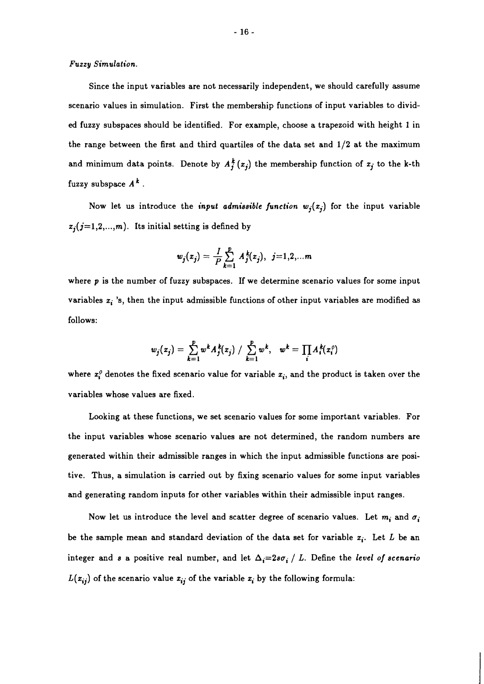**Fuzzy Simulation.** 

Since the input variables are not necessarily independent, we should carefully assume scenario values in simulation. First the membership functions of input variables to divided fuzzy subspaces should be identified. For example, choose a trapezoid with height **1** in the range between the first and third quartiles of the data set and  $1/2$  at the maximum and minimum data points. Denote by  $A_j^k(x_j)$  the membership function of  $x_j$  to the k-th fuzzy subspace  $A^k$ .

Now let us introduce the *input admissible function*  $w_j(x_j)$  for the input variable  $x_j$ ( $j=1,2,...,m$ ). Its initial setting is defined by

$$
w_j(x_j) = \frac{1}{P} \sum_{k=1}^P A_j^k(x_j), \ \ j=1,2,...m
$$

where p is the number of fuzzy subspaces. If we determine scenario values for some input variables  $x_i$  's, then the input admissible functions of other input variables are modified as follows:

$$
w_j(x_j) = \sum_{k=1}^p w^k A_j^k(x_j) / \sum_{k=1}^p w^k, \quad w^k = \prod_i A_i^k(x_i^0)
$$

where  $x_i^0$  denotes the fixed scenario value for variable  $x_i$ , and the product is taken over the variables whose values are fixed.

Looking at these functions, we set scenario values for some important variables. For the input variables whose scenario values are not determined, the random numbers are generated within their admissible ranges in which the input admissible functions are positive. Thus, a simulation is carried out by fixing scenario values for some input variables and generating random inputs for other variables within their admissible input ranges.

Now let us introduce the level and scatter degree of scenario values. Let  $m_i$  and  $\sigma_i$ be the sample mean and standard deviation of the data set for variable  $x_i$ . Let L be an integer and *s* a positive real number, and let  $\Delta_i=2s\sigma_i/L$ . Define the *level of scenario*  $L(x_{ij})$  of the scenario value  $x_{ij}$  of the variable  $x_i$  by the following formula: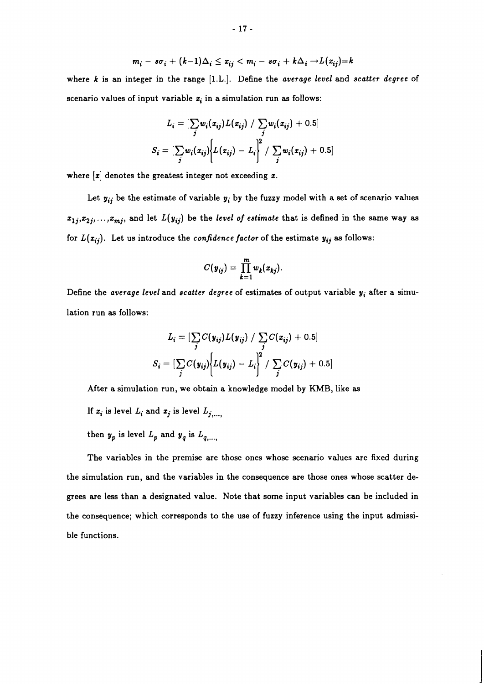$$
m_i - s\sigma_i + (k-1)\Delta_i \leq x_{ij} < m_i - s\sigma_i + k\Delta_i \rightarrow L(x_{ij}) = k
$$

where *k* is an integer in the range [I.L.]. Define the *average level* and *scatter degree* of scenario values of input variable  $x_i$  in a simulation run as follows:

$$
L_i = \left[\sum_j w_i(x_{ij}) L(x_{ij}) / \sum_j w_i(x_{ij}) + 0.5\right]
$$
  

$$
S_i = \left[\sum_j w_i(x_{ij})\left\{L(x_{ij}) - L_i\right\}^2 / \sum_j w_i(x_{ij}) + 0.5\right]
$$

where  $[x]$  denotes the greatest integer not exceeding  $x$ .

Let  $y_{ij}$  be the estimate of variable  $y_i$  by the fuzzy model with a set of scenario values  $z_{1j}, z_{2j}, \ldots, z_{mj}$ , and let  $L(y_{ij})$  be the *level of estimate* that is defined in the same way as for  $L(x_{ij})$ . Let us introduce the *confidence factor* of the estimate  $y_{ij}$  as follows:

$$
C(y_{ij}) = \prod_{k=1}^m w_k(x_{kj})
$$

Define the *average level* and *scatter degree* of estimates of output variable *y,* after a simulation run **as** follows:

$$
L_i = \left[\sum_j C(y_{ij}) L(y_{ij}) / \sum_j C(x_{ij}) + 0.5\right]
$$
  

$$
S_i = \left[\sum_j C(y_{ij}) \left\{L(y_{ij}) - L_i\right\}^2 / \sum_j C(y_{ij}) + 0.5\right]
$$

After a simulation run, we obtain a knowledge model by **KMB,** like **as** 

If  $x_i$  is level  $L_i$  and  $x_j$  is level  $L_{j,\ldots,j}$ 

then  $y_p$  is level  $L_p$  and  $y_q$  is  $L_{q,...,r}$ 

The variables in the premise are those ones whose scenario values are fixed during the simulation run, and the variables in the consequence are those ones whose scatter degrees are less than a designated value. Note that some input variables can be included in the consequence; which corresponds to the use of fuzzy inference using the input admissible functions.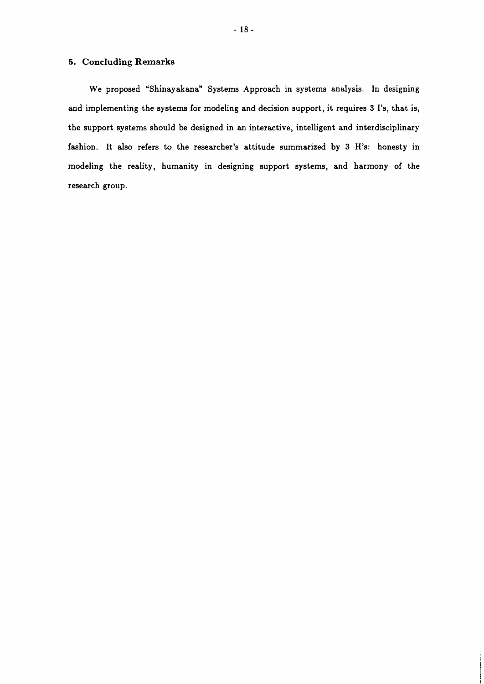#### **5. Concluding Remarks**

We proposed "Shinayakana" Systems Approach in systems analysis. In designing and implementing the systems for modeling and decision support, it requires 3 I's, that is, the support systems should be designed in an interactive, intelligent and interdisciplinary fashion. It also refers to the researcher's attitude summarized by 3 H's: honesty in modeling the reality, humanity in designing support systems, and harmony of the research group.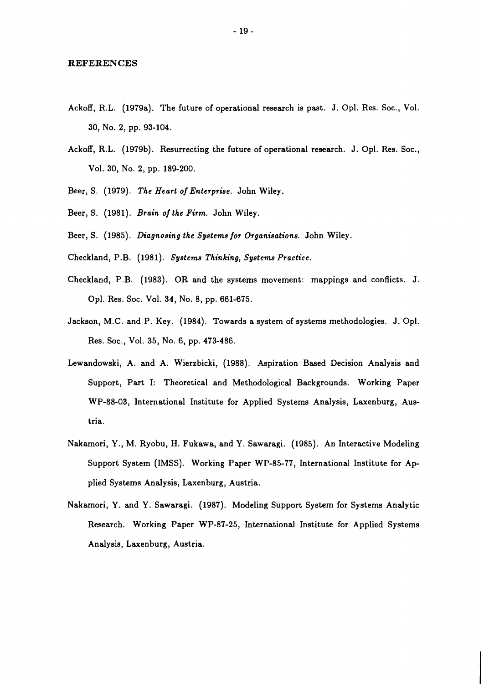#### **REFERENCES**

- Ackoff, R.L. (1979a). The future of operational research is past. J. Opl. Res. Soc., Vol. 30, No. 2, pp. 93-104.
- Ackoff, R.L. (1979b). Resurrecting the future of operational research. J. Opl. Res. Soc., Vol. 30, No. 2, pp. 189-200.
- Beer, S. (1979). *The Heart of Enterprise.* John Wiley
- Beer, S. (1981). *Brain of the Firm.* John Wiley.
- Beer, S. (1985). *Diagnosing the Systems for Organisations*. John Wiley.
- Checkland, P.B. (1981). *Systems Thinking, Systems Practice.*
- Checkland, P.B. (1983). OR and the systems movement: mappings and conflicts. J. Opl. Res. Soc. Vol. 34, No. 8, pp. 661-675.
- Jackson, M.C. and P. Key. (1984). Towards a system of systems methodologies. J. Opl. Res. Soc., Vol. 35, No. 6, pp. 473-486.
- Lewandowski, A. and A. Wierzbicki, (1988). Aspiration Based Decision Analysis and Support, Part I: Theoretical and Methodological Backgrounds. Working Paper WP-88-03, International Institute for Applied Systems Analysis, Laxenburg, Austria.
- Nakamori, Y., M. Ryobu, H. Fukawa, and Y. Sawaragi. (1985). An Interactive Modeling Support System (IMSS). Working Paper WP-85-77, International Institute for Ap plied Systems Analysis, Laxenburg, Austria.
- Nakamori, Y. and Y. Sawaragi. (1987). Modeling Support System for Systems Analytic Research. Working Paper WP-87-25, International Institute for Applied Systems Analysis, Laxenburg, Austria.